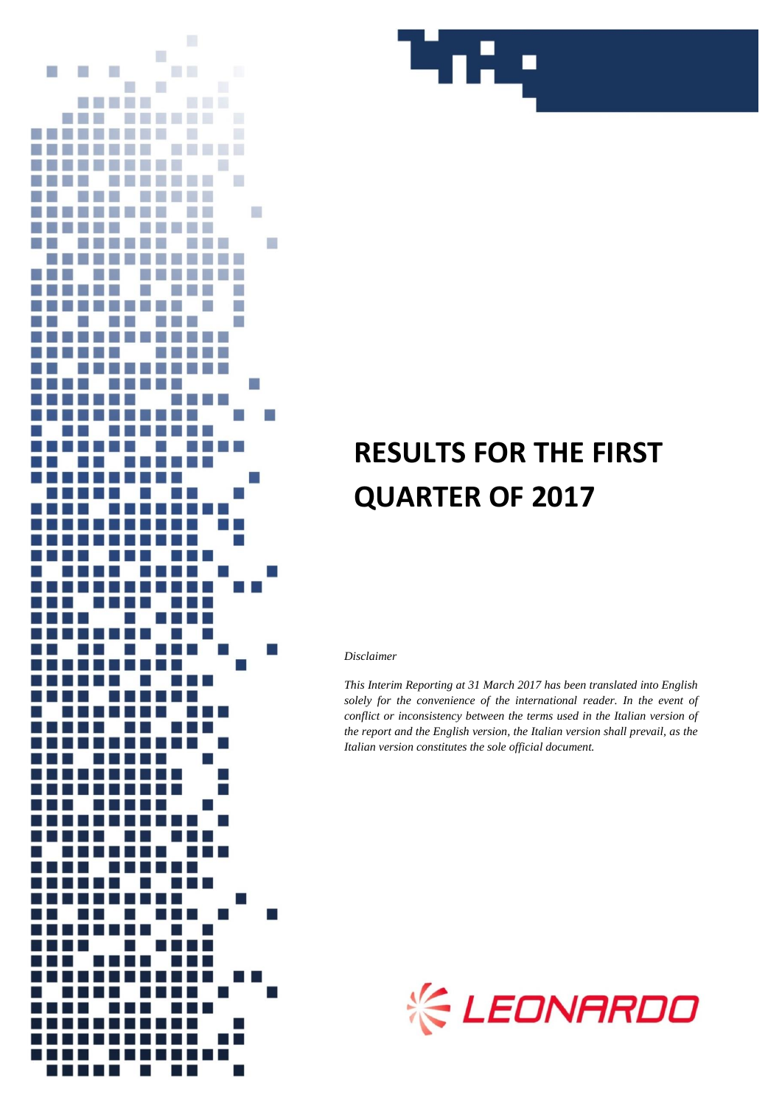



# **RESULTS FOR THE FIRST QUARTER OF 2017**

#### *Disclaimer*

*This Interim Reporting at 31 March 2017 has been translated into English solely for the convenience of the international reader. In the event of conflict or inconsistency between the terms used in the Italian version of the report and the English version, the Italian version shall prevail, as the Italian version constitutes the sole official document.*

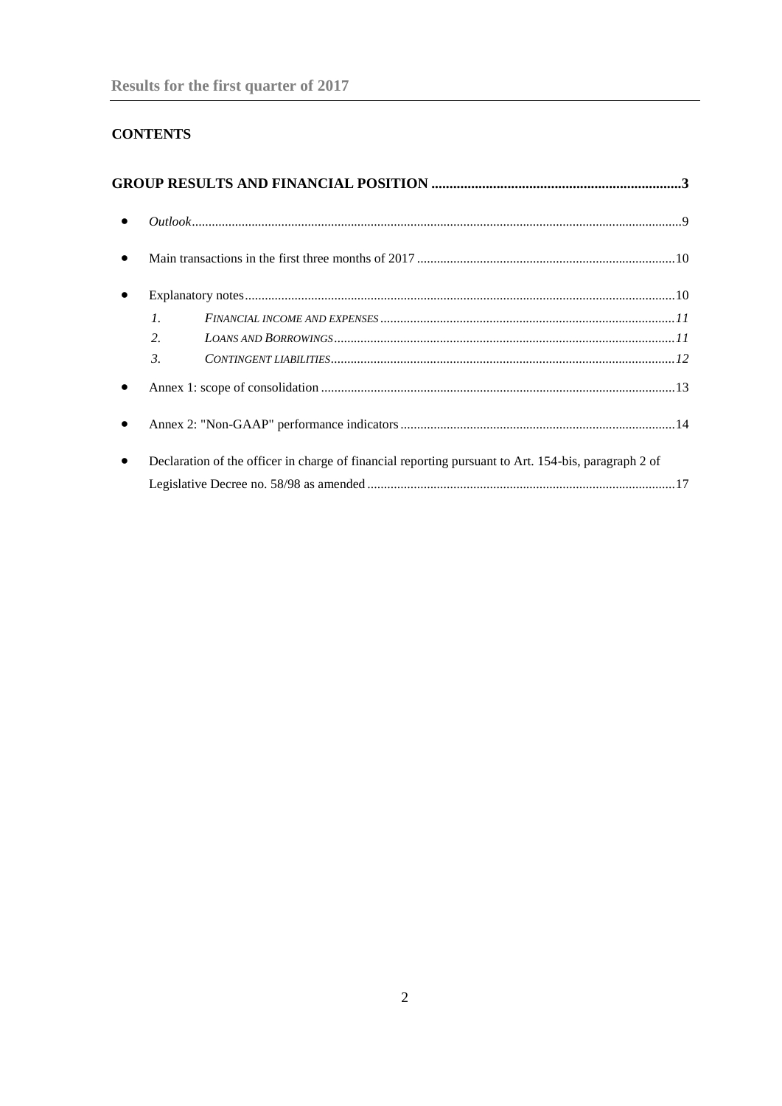# **CONTENTS**

| $\bullet$ |                  |                                                                                                      |
|-----------|------------------|------------------------------------------------------------------------------------------------------|
|           |                  |                                                                                                      |
|           | $\mathcal{I}$ .  |                                                                                                      |
|           | $\overline{2}$ . |                                                                                                      |
|           | $\mathcal{E}$    |                                                                                                      |
|           |                  |                                                                                                      |
|           |                  |                                                                                                      |
|           |                  | Declaration of the officer in charge of financial reporting pursuant to Art. 154-bis, paragraph 2 of |
|           |                  |                                                                                                      |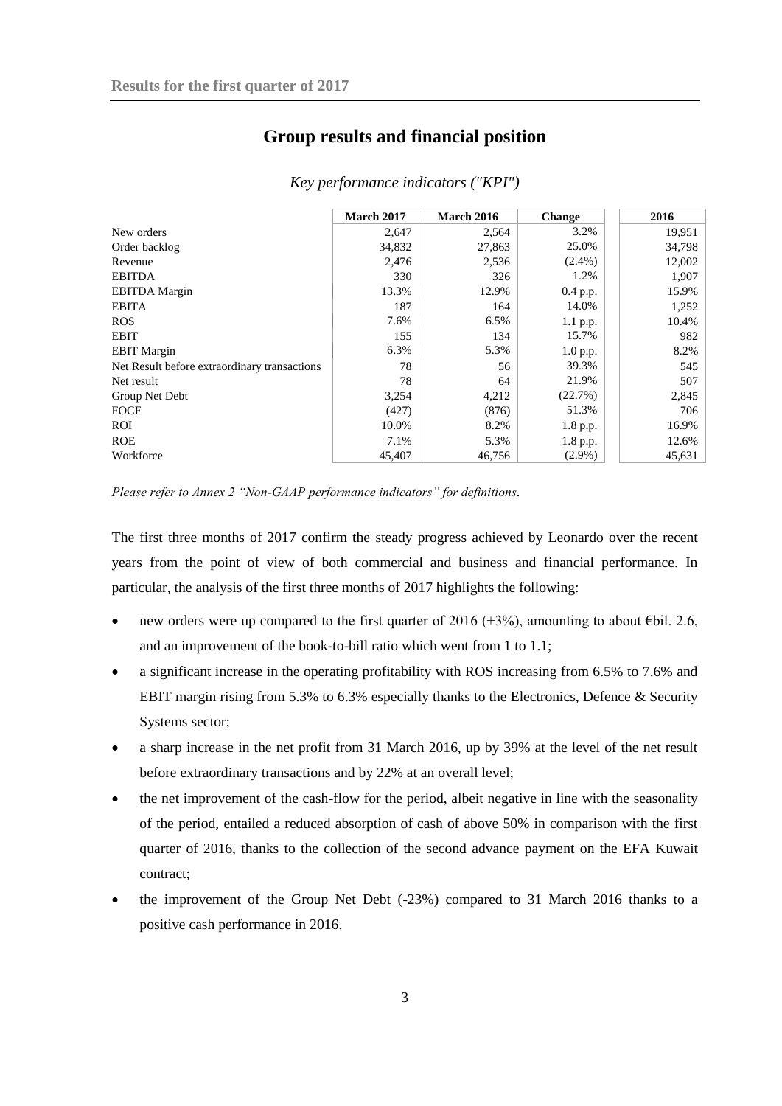# **Group results and financial position**

<span id="page-2-0"></span>

|                                              | March 2017 | <b>March 2016</b> | <b>Change</b> | 2016   |
|----------------------------------------------|------------|-------------------|---------------|--------|
| New orders                                   | 2,647      | 2,564             | 3.2%          | 19,951 |
| Order backlog                                | 34,832     | 27,863            | 25.0%         | 34,798 |
| Revenue                                      | 2,476      | 2,536             | $(2.4\%)$     | 12,002 |
| <b>EBITDA</b>                                | 330        | 326               | 1.2%          | 1,907  |
| <b>EBITDA</b> Margin                         | 13.3%      | 12.9%             | $0.4$ p.p.    | 15.9%  |
| <b>EBITA</b>                                 | 187        | 164               | 14.0%         | 1,252  |
| <b>ROS</b>                                   | 7.6%       | 6.5%              | 1.1 p.p.      | 10.4%  |
| <b>EBIT</b>                                  | 155        | 134               | 15.7%         | 982    |
| <b>EBIT</b> Margin                           | 6.3%       | 5.3%              | 1.0 p.p.      | 8.2%   |
| Net Result before extraordinary transactions | 78         | 56                | 39.3%         | 545    |
| Net result                                   | 78         | 64                | 21.9%         | 507    |
| Group Net Debt                               | 3,254      | 4,212             | (22.7%)       | 2,845  |
| <b>FOCF</b>                                  | (427)      | (876)             | 51.3%         | 706    |
| ROI                                          | 10.0%      | 8.2%              | 1.8 p.p.      | 16.9%  |
| <b>ROE</b>                                   | 7.1%       | 5.3%              | 1.8 p.p.      | 12.6%  |
| Workforce                                    | 45,407     | 46.756            | $(2.9\%)$     | 45,631 |

*Key performance indicators ("KPI")*

*Please refer to Annex 2 "Non-GAAP performance indicators" for definitions.*

The first three months of 2017 confirm the steady progress achieved by Leonardo over the recent years from the point of view of both commercial and business and financial performance. In particular, the analysis of the first three months of 2017 highlights the following:

- new orders were up compared to the first quarter of 2016 (+3%), amounting to about  $\epsilon$ bil. 2.6, and an improvement of the book-to-bill ratio which went from 1 to 1.1;
- a significant increase in the operating profitability with ROS increasing from 6.5% to 7.6% and EBIT margin rising from 5.3% to 6.3% especially thanks to the Electronics, Defence & Security Systems sector;
- a sharp increase in the net profit from 31 March 2016, up by 39% at the level of the net result before extraordinary transactions and by 22% at an overall level;
- the net improvement of the cash-flow for the period, albeit negative in line with the seasonality of the period, entailed a reduced absorption of cash of above 50% in comparison with the first quarter of 2016, thanks to the collection of the second advance payment on the EFA Kuwait contract;
- the improvement of the Group Net Debt (-23%) compared to 31 March 2016 thanks to a positive cash performance in 2016.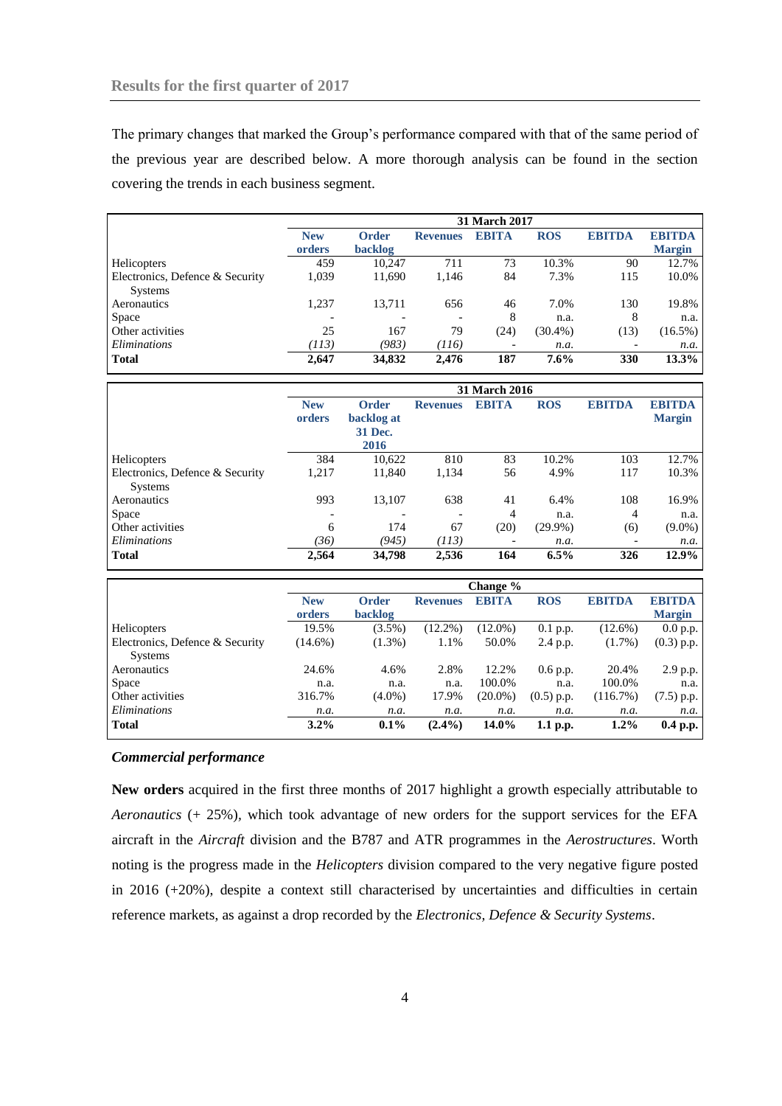The primary changes that marked the Group's performance compared with that of the same period of the previous year are described below. A more thorough analysis can be found in the section covering the trends in each business segment.

|                                 | <b>31 March 2017</b>     |              |                 |              |            |                          |               |
|---------------------------------|--------------------------|--------------|-----------------|--------------|------------|--------------------------|---------------|
|                                 | <b>New</b>               | <b>Order</b> | <b>Revenues</b> | <b>EBITA</b> | <b>ROS</b> | <b>EBITDA</b>            | <b>EBITDA</b> |
|                                 | orders                   | backlog      |                 |              |            |                          | <b>Margin</b> |
| Helicopters                     | 459                      | 10.247       | 711             | 73           | 10.3%      | 90                       | 12.7%         |
| Electronics, Defence & Security | 1,039                    | 11,690       | 1,146           | 84           | 7.3%       | 115                      | 10.0%         |
| <b>Systems</b>                  |                          |              |                 |              |            |                          |               |
| Aeronautics                     | 1.237                    | 13.711       | 656             | 46           | 7.0%       | 130                      | 19.8%         |
| <b>Space</b>                    | $\overline{\phantom{0}}$ |              | -               | 8            | n.a.       | 8                        | n.a.          |
| Other activities                | 25                       | 167          | 79              | (24)         | $(30.4\%)$ | (13)                     | $(16.5\%)$    |
| Eliminations                    | (113)                    | (983)        | (116)           |              | n.a.       | $\overline{\phantom{a}}$ | n.a.          |
| <b>Total</b>                    | 2,647                    | 34,832       | 2,476           | 187          | $7.6\%$    | 330                      | 13.3%         |

|                                                   | <b>31 March 2016</b>     |                                                      |                 |                |            |                          |                                |
|---------------------------------------------------|--------------------------|------------------------------------------------------|-----------------|----------------|------------|--------------------------|--------------------------------|
|                                                   | <b>New</b><br>orders     | <b>Order</b><br>backlog at<br><b>31 Dec.</b><br>2016 | <b>Revenues</b> | <b>EBITA</b>   | <b>ROS</b> | <b>EBITDA</b>            | <b>EBITDA</b><br><b>Margin</b> |
| Helicopters                                       | 384                      | 10,622                                               | 810             | 83             | 10.2%      | 103                      | 12.7%                          |
| Electronics, Defence & Security<br><b>Systems</b> | 1,217                    | 11,840                                               | 1,134           | 56             | 4.9%       | 117                      | 10.3%                          |
| Aeronautics                                       | 993                      | 13.107                                               | 638             | 41             | 6.4%       | 108                      | 16.9%                          |
| Space                                             | $\overline{\phantom{a}}$ |                                                      | -               | $\overline{4}$ | n.a.       | 4                        | n.a.                           |
| Other activities                                  | 6                        | 174                                                  | 67              | (20)           | $(29.9\%)$ | (6)                      | $(9.0\%)$                      |
| <i>Eliminations</i>                               | (36)                     | (945)                                                | (113)           |                | n.a.       | $\overline{\phantom{a}}$ | n.a.                           |
| <b>Total</b>                                      | 2,564                    | 34,798                                               | 2,536           | 164            | 6.5%       | 326                      | $12.9\%$                       |

|                                                   |            |              |                 | Change %     |              |               |               |
|---------------------------------------------------|------------|--------------|-----------------|--------------|--------------|---------------|---------------|
|                                                   | <b>New</b> | <b>Order</b> | <b>Revenues</b> | <b>EBITA</b> | <b>ROS</b>   | <b>EBITDA</b> | <b>EBITDA</b> |
|                                                   | orders     | backlog      |                 |              |              |               | <b>Margin</b> |
| Helicopters                                       | 19.5%      | $(3.5\%)$    | $(12.2\%)$      | $(12.0\%)$   | $0.1$ p.p.   | $(12.6\%)$    | 0.0 p.p.      |
| Electronics, Defence & Security<br><b>Systems</b> | $(14.6\%)$ | $(1.3\%)$    | 1.1%            | 50.0%        | 2.4 p.p.     | $(1.7\%)$     | $(0.3)$ p.p.  |
| Aeronautics                                       | 24.6%      | 4.6%         | 2.8%            | 12.2%        | 0.6 p.p.     | 20.4%         | 2.9 p.p.      |
| <b>Space</b>                                      | n.a.       | n.a.         | n.a.            | 100.0%       | n.a.         | 100.0%        | n.a.          |
| Other activities                                  | 316.7%     | $(4.0\%)$    | 17.9%           | $(20.0\%)$   | $(0.5)$ p.p. | (116.7%)      | $(7.5)$ p.p.  |
| <i>Eliminations</i>                               | n.a.       | n.a.         | n.a.            | n.a.         | n.a.         | n.a.          | n.a.          |
| <b>Total</b>                                      | $3.2\%$    | $0.1\%$      | $(2.4\%)$       | 14.0%        | $1.1$ p.p.   | $1.2\%$       | $0.4$ p.p.    |

# *Commercial performance*

**New orders** acquired in the first three months of 2017 highlight a growth especially attributable to *Aeronautics* (+ 25%)*,* which took advantage of new orders for the support services for the EFA aircraft in the *Aircraft* division and the B787 and ATR programmes in the *Aerostructures*. Worth noting is the progress made in the *Helicopters* division compared to the very negative figure posted in 2016 (+20%), despite a context still characterised by uncertainties and difficulties in certain reference markets, as against a drop recorded by the *Electronics, Defence & Security Systems*.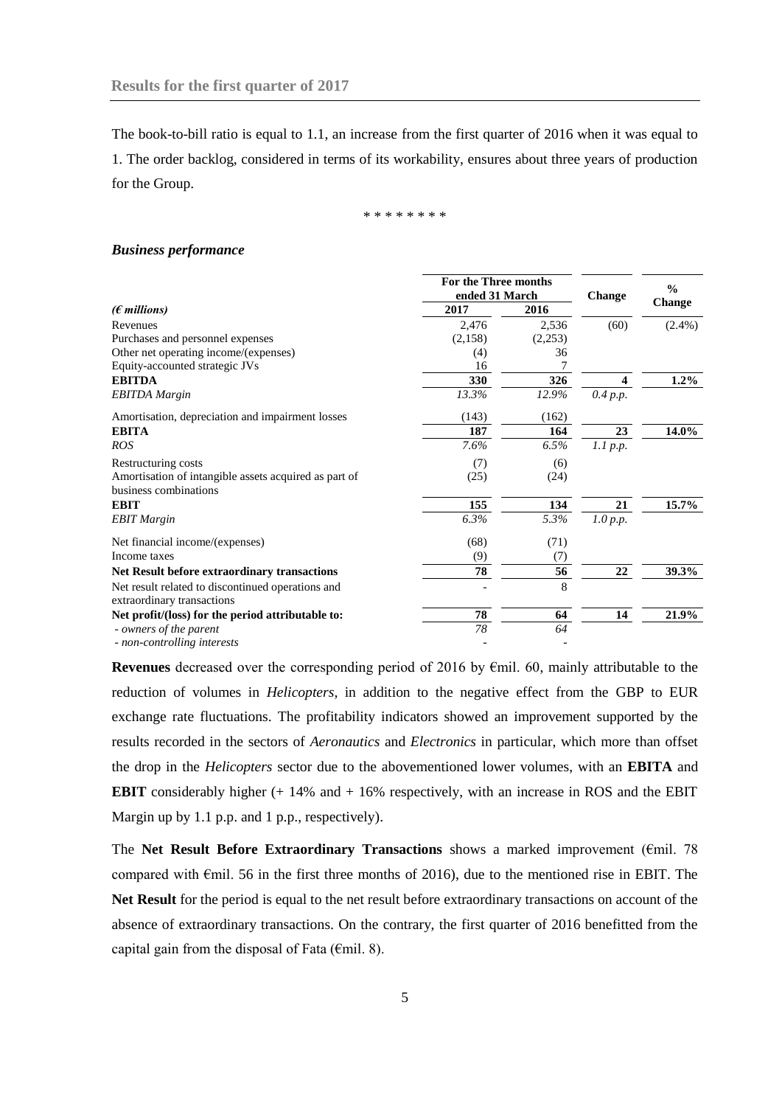The book-to-bill ratio is equal to 1.1, an increase from the first quarter of 2016 when it was equal to 1. The order backlog, considered in terms of its workability, ensures about three years of production for the Group.

\* \* \* \* \* \* \* \*

#### *Business performance*

|                                                                                 | For the Three months |               | $\frac{0}{0}$    |               |
|---------------------------------------------------------------------------------|----------------------|---------------|------------------|---------------|
|                                                                                 | ended 31 March       | <b>Change</b> |                  |               |
| $(\epsilon$ millions)                                                           | 2017                 | 2016          |                  | <b>Change</b> |
| Revenues                                                                        | 2,476                | 2,536         | (60)             | $(2.4\%)$     |
| Purchases and personnel expenses                                                | (2,158)              | (2,253)       |                  |               |
| Other net operating income/(expenses)                                           | (4)                  | 36            |                  |               |
| Equity-accounted strategic JVs                                                  | 16                   | 7             |                  |               |
| <b>EBITDA</b>                                                                   | 330                  | 326           | $\boldsymbol{4}$ | $1.2\%$       |
| <b>EBITDA</b> Margin                                                            | 13.3%                | 12.9%         | 0.4 p.p.         |               |
| Amortisation, depreciation and impairment losses                                | (143)                | (162)         |                  |               |
| <b>EBITA</b>                                                                    | 187                  | 164           | 23               | $14.0\%$      |
| <b>ROS</b>                                                                      | 7.6%                 | 6.5%          | $1.1$ p.p.       |               |
| Restructuring costs                                                             | (7)                  | (6)           |                  |               |
| Amortisation of intangible assets acquired as part of<br>business combinations  | (25)                 | (24)          |                  |               |
| <b>EBIT</b>                                                                     | 155                  | 134           | 21               | 15.7%         |
| <b>EBIT</b> Margin                                                              | 6.3%                 | 5.3%          | 1.0 p.p.         |               |
| Net financial income/(expenses)                                                 | (68)                 | (71)          |                  |               |
| Income taxes                                                                    | (9)                  | (7)           |                  |               |
| <b>Net Result before extraordinary transactions</b>                             | 78                   | 56            | $\bf{22}$        | 39.3%         |
| Net result related to discontinued operations and<br>extraordinary transactions |                      | 8             |                  |               |
| Net profit/(loss) for the period attributable to:                               | 78                   | 64            | 14               | 21.9%         |
| - owners of the parent                                                          | 78                   | 64            |                  |               |
| - non-controlling interests                                                     |                      |               |                  |               |

**Revenues** decreased over the corresponding period of 2016 by €mil. 60, mainly attributable to the reduction of volumes in *Helicopters*, in addition to the negative effect from the GBP to EUR exchange rate fluctuations. The profitability indicators showed an improvement supported by the results recorded in the sectors of *Aeronautics* and *Electronics* in particular, which more than offset the drop in the *Helicopters* sector due to the abovementioned lower volumes, with an **EBITA** and **EBIT** considerably higher (+ 14% and + 16% respectively, with an increase in ROS and the EBIT Margin up by 1.1 p.p. and 1 p.p., respectively).

The **Net Result Before Extraordinary Transactions** shows a marked improvement (€mil. 78 compared with €mil. 56 in the first three months of 2016), due to the mentioned rise in EBIT. The **Net Result** for the period is equal to the net result before extraordinary transactions on account of the absence of extraordinary transactions. On the contrary, the first quarter of 2016 benefitted from the capital gain from the disposal of Fata ( $\epsilon$ mil. 8).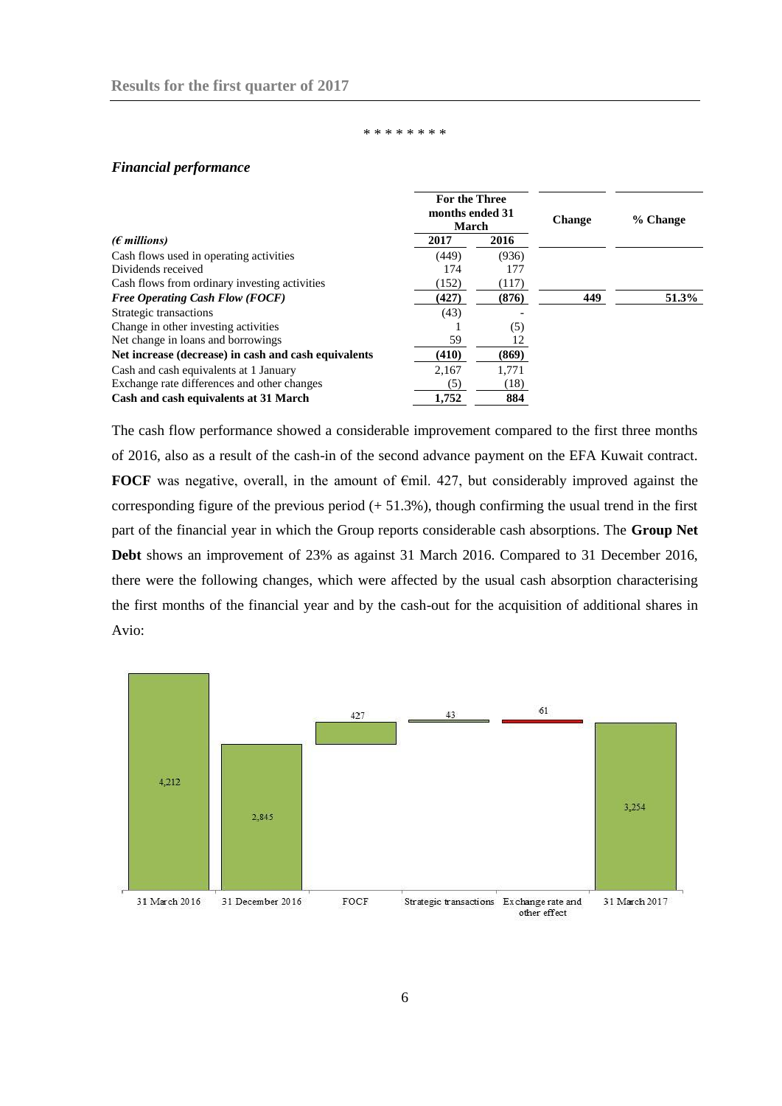#### \* \* \* \* \* \* \*

# *Financial performance*

|                                                      | For the Three<br>months ended 31<br>March |       | <b>Change</b> | % Change |  |
|------------------------------------------------------|-------------------------------------------|-------|---------------|----------|--|
| ( $\epsilon$ millions)                               | 2017                                      | 2016  |               |          |  |
| Cash flows used in operating activities              | (449)                                     | (936) |               |          |  |
| Dividends received                                   | 174                                       | 177   |               |          |  |
| Cash flows from ordinary investing activities        | (152)                                     | (117) |               |          |  |
| <b>Free Operating Cash Flow (FOCF)</b>               | (427)                                     | (876) | 449           | 51.3%    |  |
| Strategic transactions                               | (43)                                      |       |               |          |  |
| Change in other investing activities                 |                                           | (5)   |               |          |  |
| Net change in loans and borrowings                   | 59                                        | 12    |               |          |  |
| Net increase (decrease) in cash and cash equivalents | (410)                                     | (869) |               |          |  |
| Cash and cash equivalents at 1 January               | 2.167                                     | 1.771 |               |          |  |
| Exchange rate differences and other changes          | (5)                                       | (18)  |               |          |  |
| Cash and cash equivalents at 31 March                | 1.752                                     | 884   |               |          |  |

The cash flow performance showed a considerable improvement compared to the first three months of 2016, also as a result of the cash-in of the second advance payment on the EFA Kuwait contract. **FOCF** was negative, overall, in the amount of  $\epsilon$ mil. 427, but considerably improved against the corresponding figure of the previous period  $(+ 51.3\%)$ , though confirming the usual trend in the first part of the financial year in which the Group reports considerable cash absorptions. The **Group Net Debt** shows an improvement of 23% as against 31 March 2016. Compared to 31 December 2016, there were the following changes, which were affected by the usual cash absorption characterising the first months of the financial year and by the cash-out for the acquisition of additional shares in Avio:

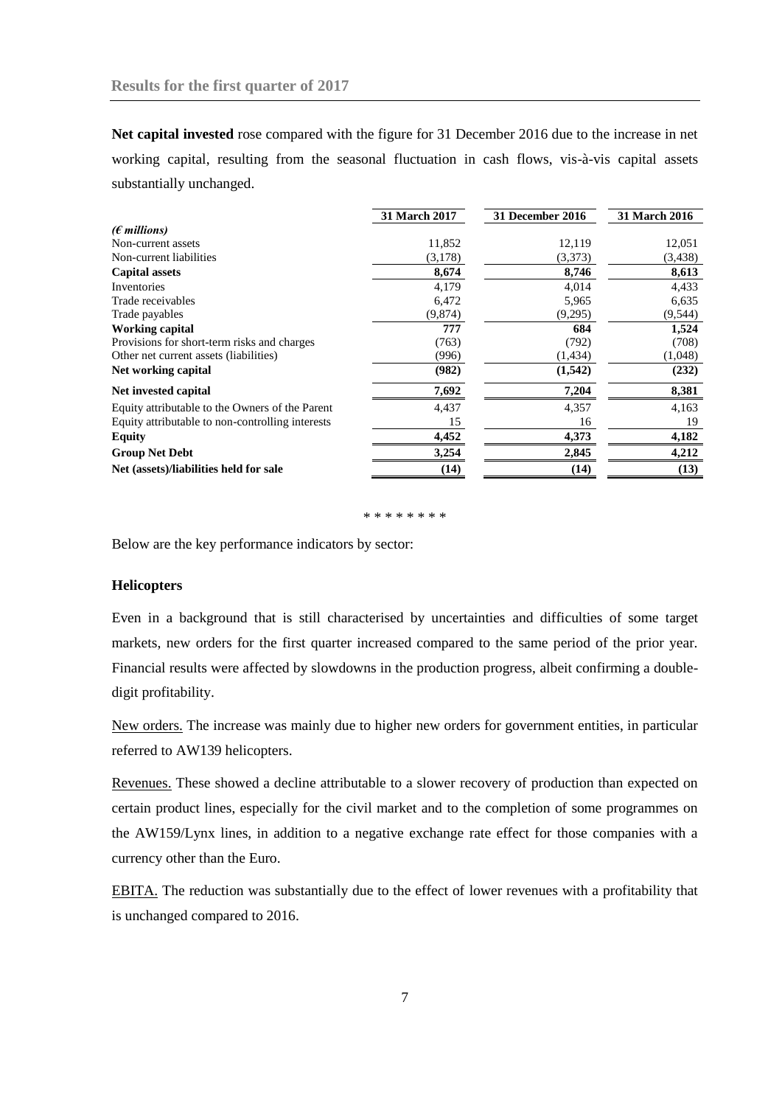**Net capital invested** rose compared with the figure for 31 December 2016 due to the increase in net working capital, resulting from the seasonal fluctuation in cash flows, vis-à-vis capital assets substantially unchanged.

|                                                  | <b>31 March 2017</b> | 31 December 2016 | <b>31 March 2016</b> |
|--------------------------------------------------|----------------------|------------------|----------------------|
| ( $\epsilon$ millions)                           |                      |                  |                      |
| Non-current assets                               | 11,852               | 12,119           | 12,051               |
| Non-current liabilities                          | (3,178)              | (3,373)          | (3, 438)             |
| <b>Capital assets</b>                            | 8,674                | 8,746            | 8,613                |
| Inventories                                      | 4,179                | 4,014            | 4,433                |
| Trade receivables                                | 6,472                | 5,965            | 6,635                |
| Trade payables                                   | (9,874)              | (9,295)          | (9, 544)             |
| <b>Working capital</b>                           | 777                  | 684              | 1,524                |
| Provisions for short-term risks and charges      | (763)                | (792)            | (708)                |
| Other net current assets (liabilities)           | (996)                | (1, 434)         | (1,048)              |
| Net working capital                              | (982)                | (1, 542)         | (232)                |
| Net invested capital                             | 7,692                | 7,204            | 8,381                |
| Equity attributable to the Owners of the Parent  | 4,437                | 4,357            | 4,163                |
| Equity attributable to non-controlling interests | 15                   | 16               | 19                   |
| <b>Equity</b>                                    | 4,452                | 4,373            | 4,182                |
| <b>Group Net Debt</b>                            | 3,254                | 2,845            | 4,212                |
| Net (assets)/liabilities held for sale           | (14)                 | (14)             | (13)                 |

\* \* \* \* \* \* \* \* \* \*

Below are the key performance indicators by sector:

## **Helicopters**

Even in a background that is still characterised by uncertainties and difficulties of some target markets, new orders for the first quarter increased compared to the same period of the prior year. Financial results were affected by slowdowns in the production progress, albeit confirming a doubledigit profitability.

New orders. The increase was mainly due to higher new orders for government entities, in particular referred to AW139 helicopters.

Revenues. These showed a decline attributable to a slower recovery of production than expected on certain product lines, especially for the civil market and to the completion of some programmes on the AW159/Lynx lines, in addition to a negative exchange rate effect for those companies with a currency other than the Euro.

EBITA. The reduction was substantially due to the effect of lower revenues with a profitability that is unchanged compared to 2016.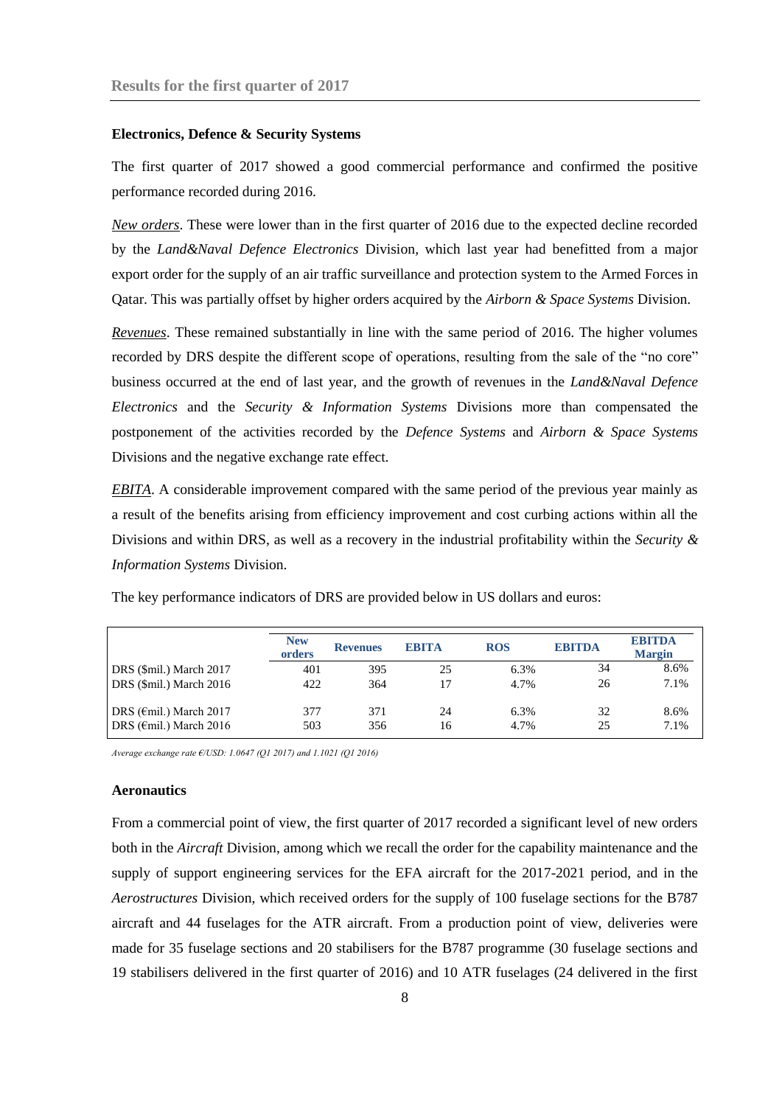#### **Electronics, Defence & Security Systems**

The first quarter of 2017 showed a good commercial performance and confirmed the positive performance recorded during 2016.

*New orders*. These were lower than in the first quarter of 2016 due to the expected decline recorded by the *Land&Naval Defence Electronics* Division*,* which last year had benefitted from a major export order for the supply of an air traffic surveillance and protection system to the Armed Forces in Qatar. This was partially offset by higher orders acquired by the *Airborn & Space Systems* Division.

*Revenues*. These remained substantially in line with the same period of 2016. The higher volumes recorded by DRS despite the different scope of operations, resulting from the sale of the "no core" business occurred at the end of last year, and the growth of revenues in the *Land&Naval Defence Electronics* and the *Security & Information Systems* Divisions more than compensated the postponement of the activities recorded by the *Defence Systems* and *Airborn & Space Systems* Divisions and the negative exchange rate effect*.*

*EBITA*. A considerable improvement compared with the same period of the previous year mainly as a result of the benefits arising from efficiency improvement and cost curbing actions within all the Divisions and within DRS, as well as a recovery in the industrial profitability within the *Security & Information Systems* Division.

|                                   | <b>New</b><br>orders | <b>Revenues</b> | <b>EBITA</b> | <b>ROS</b> | <b>EBITDA</b> | <b>EBITDA</b><br><b>Margin</b> |
|-----------------------------------|----------------------|-----------------|--------------|------------|---------------|--------------------------------|
| DRS (\$mil.) March 2017           | 401                  | 395             | 25           | 6.3%       | 34            | 8.6%                           |
| DRS (\$mil.) March 2016           | 422                  | 364             | 17           | 4.7%       | 26            | 7.1%                           |
| DRS ( $\epsilon$ mil.) March 2017 | 377                  | 371             | 24           | 6.3%       | 32            | 8.6%                           |
| DRS ( $\epsilon$ mil.) March 2016 | 503                  | 356             | 16           | 4.7%       | 25            | 7.1%                           |

The key performance indicators of DRS are provided below in US dollars and euros:

*Average exchange rate €/USD: 1.0647 (Q1 2017) and 1.1021 (Q1 2016)*

#### **Aeronautics**

From a commercial point of view, the first quarter of 2017 recorded a significant level of new orders both in the *Aircraft* Division, among which we recall the order for the capability maintenance and the supply of support engineering services for the EFA aircraft for the 2017-2021 period, and in the *Aerostructures* Division, which received orders for the supply of 100 fuselage sections for the B787 aircraft and 44 fuselages for the ATR aircraft. From a production point of view, deliveries were made for 35 fuselage sections and 20 stabilisers for the B787 programme (30 fuselage sections and 19 stabilisers delivered in the first quarter of 2016) and 10 ATR fuselages (24 delivered in the first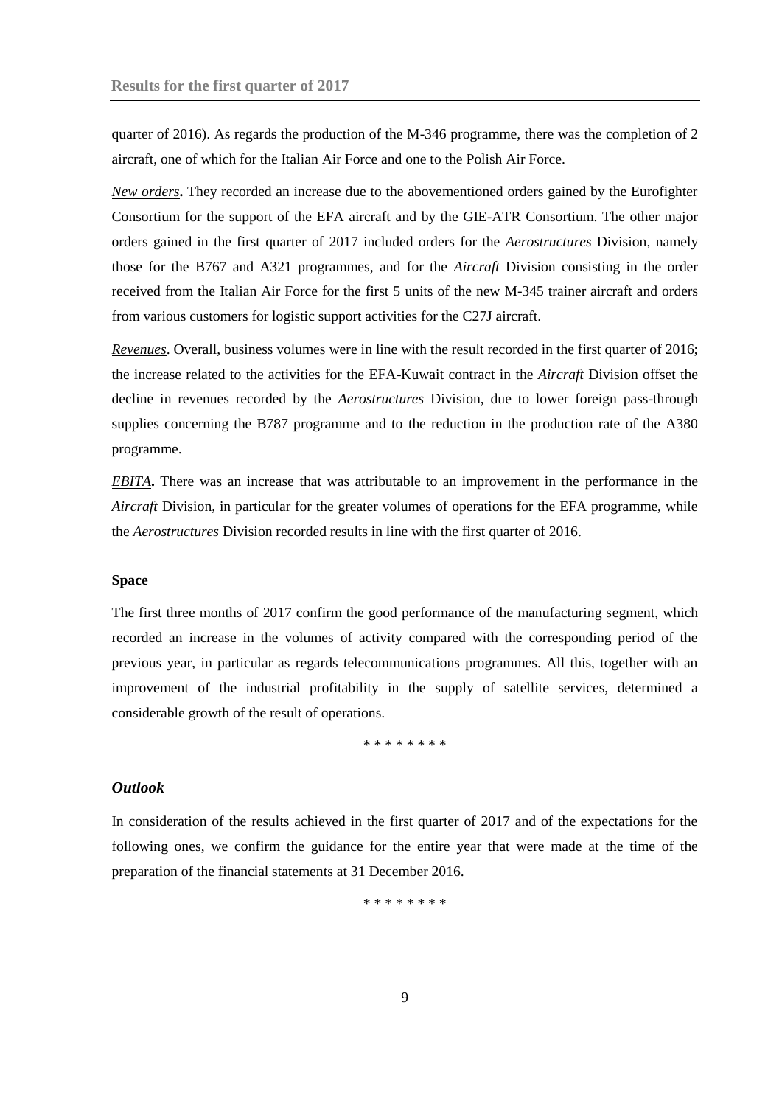quarter of 2016). As regards the production of the M-346 programme, there was the completion of 2 aircraft, one of which for the Italian Air Force and one to the Polish Air Force.

*New orders***.** They recorded an increase due to the abovementioned orders gained by the Eurofighter Consortium for the support of the EFA aircraft and by the GIE-ATR Consortium. The other major orders gained in the first quarter of 2017 included orders for the *Aerostructures* Division*,* namely those for the B767 and A321 programmes, and for the *Aircraft* Division consisting in the order received from the Italian Air Force for the first 5 units of the new M-345 trainer aircraft and orders from various customers for logistic support activities for the C27J aircraft.

*Revenues*. Overall, business volumes were in line with the result recorded in the first quarter of 2016; the increase related to the activities for the EFA-Kuwait contract in the *Aircraft* Division offset the decline in revenues recorded by the *Aerostructures* Division, due to lower foreign pass-through supplies concerning the B787 programme and to the reduction in the production rate of the A380 programme.

*EBITA***.** There was an increase that was attributable to an improvement in the performance in the *Aircraft* Division, in particular for the greater volumes of operations for the EFA programme, while the *Aerostructures* Division recorded results in line with the first quarter of 2016.

#### **Space**

The first three months of 2017 confirm the good performance of the manufacturing segment, which recorded an increase in the volumes of activity compared with the corresponding period of the previous year, in particular as regards telecommunications programmes. All this, together with an improvement of the industrial profitability in the supply of satellite services, determined a considerable growth of the result of operations.

\* \* \* \* \* \* \* \*

# <span id="page-8-0"></span>*Outlook*

In consideration of the results achieved in the first quarter of 2017 and of the expectations for the following ones, we confirm the guidance for the entire year that were made at the time of the preparation of the financial statements at 31 December 2016.

\* \* \* \* \* \* \* \*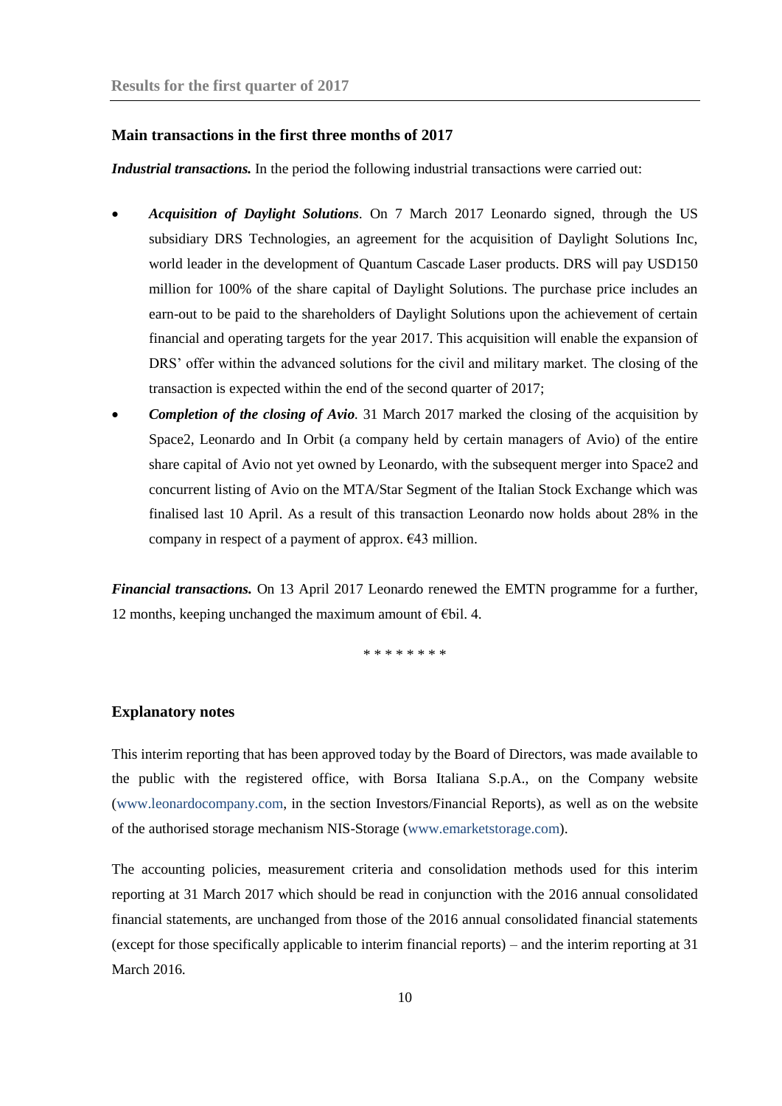### <span id="page-9-0"></span>**Main transactions in the first three months of 2017**

*Industrial transactions.* In the period the following industrial transactions were carried out:

- *Acquisition of Daylight Solutions.* On 7 March 2017 Leonardo signed, through the US subsidiary DRS Technologies, an agreement for the acquisition of Daylight Solutions Inc, world leader in the development of Quantum Cascade Laser products. DRS will pay USD150 million for 100% of the share capital of Daylight Solutions. The purchase price includes an earn-out to be paid to the shareholders of Daylight Solutions upon the achievement of certain financial and operating targets for the year 2017. This acquisition will enable the expansion of DRS' offer within the advanced solutions for the civil and military market. The closing of the transaction is expected within the end of the second quarter of 2017;
- *Completion of the closing of Avio.* 31 March 2017 marked the closing of the acquisition by Space2, Leonardo and In Orbit (a company held by certain managers of Avio) of the entire share capital of Avio not yet owned by Leonardo, with the subsequent merger into Space2 and concurrent listing of Avio on the MTA/Star Segment of the Italian Stock Exchange which was finalised last 10 April. As a result of this transaction Leonardo now holds about 28% in the company in respect of a payment of approx.  $E$ 43 million.

*Financial transactions.* On 13 April 2017 Leonardo renewed the EMTN programme for a further, 12 months, keeping unchanged the maximum amount of €bil. 4.

\* \* \* \* \* \* \* \*

# <span id="page-9-1"></span>**Explanatory notes**

This interim reporting that has been approved today by the Board of Directors, was made available to the public with the registered office, with Borsa Italiana S.p.A., on the Company website [\(www.leonardocompany.com,](http://www.leonardocompany.com/) in the section Investors/Financial Reports), as well as on the website of the authorised storage mechanism NIS-Storage [\(www.emarketstorage.com\)](http://www.emarketstorage.com/).

The accounting policies, measurement criteria and consolidation methods used for this interim reporting at 31 March 2017 which should be read in conjunction with the 2016 annual consolidated financial statements, are unchanged from those of the 2016 annual consolidated financial statements (except for those specifically applicable to interim financial reports) – and the interim reporting at 31 March 2016.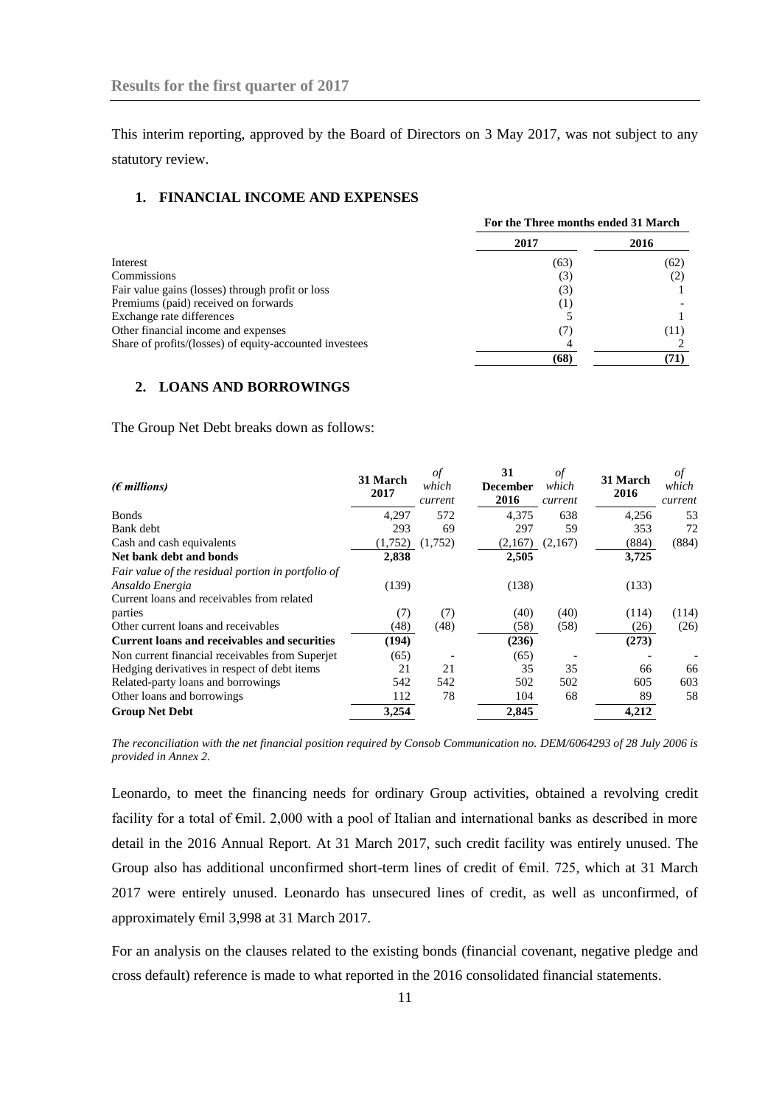This interim reporting, approved by the Board of Directors on 3 May 2017, was not subject to any statutory review.

# <span id="page-10-0"></span>**1. FINANCIAL INCOME AND EXPENSES**

|                                                         | For the Three months ended 31 March |      |
|---------------------------------------------------------|-------------------------------------|------|
|                                                         | 2017                                | 2016 |
| Interest                                                | (63)                                | (62) |
| Commissions                                             | (3)                                 | (2)  |
| Fair value gains (losses) through profit or loss        | (3)                                 |      |
| Premiums (paid) received on forwards                    | ( L)                                |      |
| Exchange rate differences                               |                                     |      |
| Other financial income and expenses                     | (7)                                 | (11) |
| Share of profits/(losses) of equity-accounted investees |                                     |      |
|                                                         | (68)                                | 71)  |

## <span id="page-10-1"></span>**2. LOANS AND BORROWINGS**

The Group Net Debt breaks down as follows:

| ( $\epsilon$ millions)                                                | 31 March<br>2017 | of<br>which<br>current | 31<br><b>December</b><br>2016 | οf<br>which<br>current | 31 March<br>2016 | of<br>which<br>current |
|-----------------------------------------------------------------------|------------------|------------------------|-------------------------------|------------------------|------------------|------------------------|
| <b>Bonds</b>                                                          | 4.297            | 572                    | 4.375                         | 638                    | 4,256            | 53                     |
| Bank debt                                                             | 293              | 69                     | 297                           | 59                     | 353              | 72                     |
| Cash and cash equivalents                                             | (1,752)          | (1,752)                | (2,167)                       | (2,167)                | (884)            | (884)                  |
| Net bank debt and bonds                                               | 2,838            |                        | 2,505                         |                        | 3,725            |                        |
| Fair value of the residual portion in portfolio of<br>Ansaldo Energia | (139)            |                        | (138)                         |                        | (133)            |                        |
| Current loans and receivables from related<br>parties                 | (7)              | (7)                    | (40)                          | (40)                   | (114)            | (114)                  |
| Other current loans and receivables                                   | (48)             | (48)                   | (58)                          | (58)                   | (26)             | (26)                   |
| <b>Current loans and receivables and securities</b>                   | (194)            |                        | (236)                         |                        | (273)            |                        |
| Non current financial receivables from Superjet                       | (65)             |                        | (65)                          |                        |                  |                        |
| Hedging derivatives in respect of debt items                          | 21               | 21                     | 35                            | 35                     | 66               | 66                     |
| Related-party loans and borrowings                                    | 542              | 542                    | 502                           | 502                    | 605              | 603                    |
| Other loans and borrowings                                            | 112              | 78                     | 104                           | 68                     | 89               | 58                     |
| <b>Group Net Debt</b>                                                 | 3.254            |                        | 2,845                         |                        | 4,212            |                        |

*The reconciliation with the net financial position required by Consob Communication no. DEM/6064293 of 28 July 2006 is provided in Annex 2.* 

Leonardo, to meet the financing needs for ordinary Group activities, obtained a revolving credit facility for a total of  $\epsilon$ mil. 2,000 with a pool of Italian and international banks as described in more detail in the 2016 Annual Report. At 31 March 2017, such credit facility was entirely unused. The Group also has additional unconfirmed short-term lines of credit of €mil. 725, which at 31 March 2017 were entirely unused. Leonardo has unsecured lines of credit, as well as unconfirmed, of approximately €mil 3,998 at 31 March 2017.

For an analysis on the clauses related to the existing bonds (financial covenant, negative pledge and cross default) reference is made to what reported in the 2016 consolidated financial statements.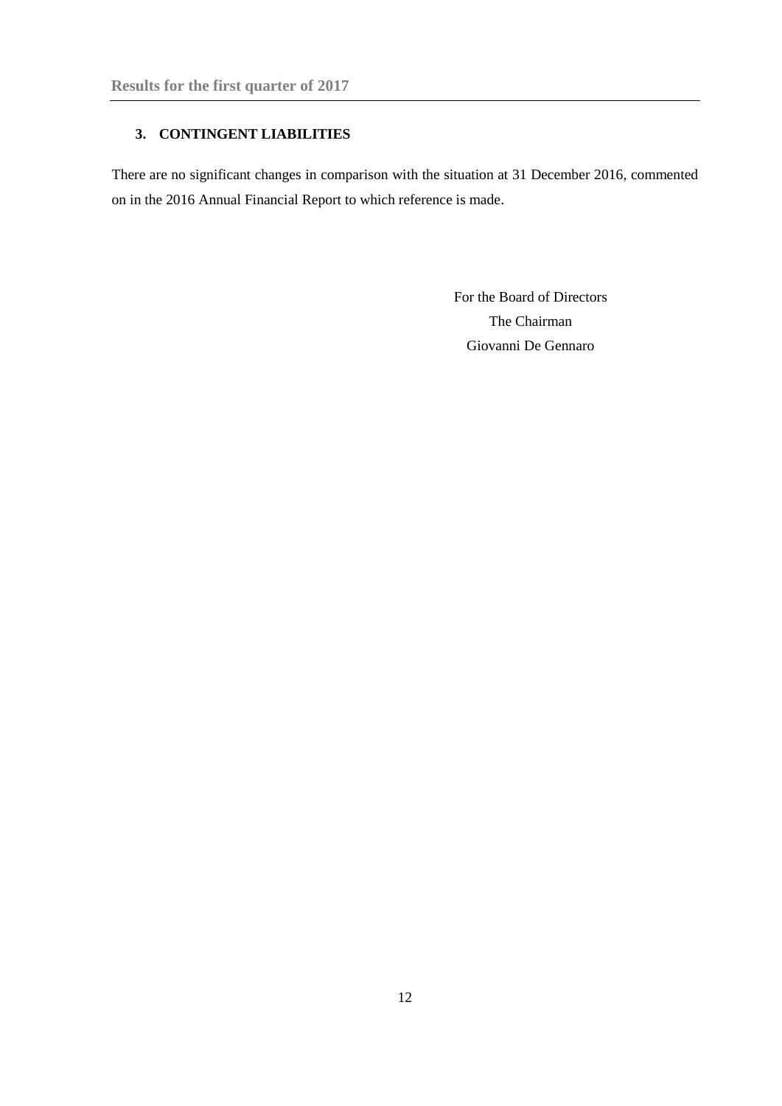# <span id="page-11-0"></span>**3. CONTINGENT LIABILITIES**

There are no significant changes in comparison with the situation at 31 December 2016, commented on in the 2016 Annual Financial Report to which reference is made.

> For the Board of Directors The Chairman Giovanni De Gennaro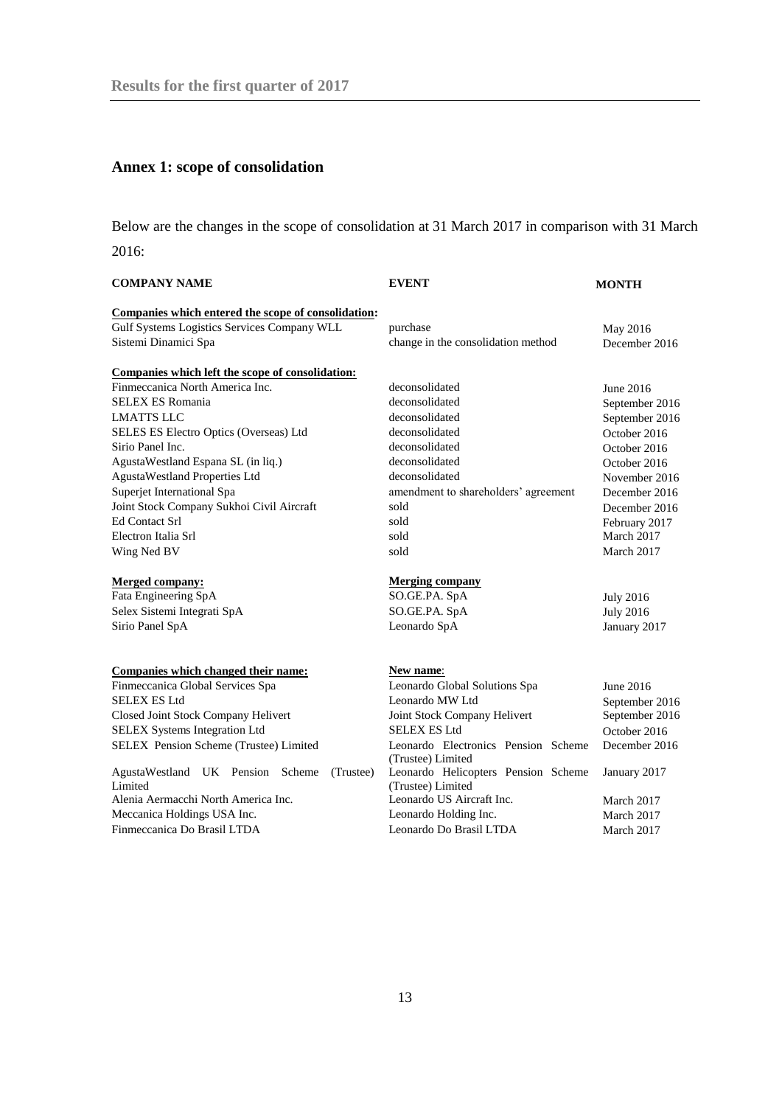# <span id="page-12-0"></span>**Annex 1: scope of consolidation**

Below are the changes in the scope of consolidation at 31 March 2017 in comparison with 31 March 2016:

| <b>COMPANY NAME</b>                                                     | <b>EVENT</b>                                      | <b>MONTH</b>                     |  |
|-------------------------------------------------------------------------|---------------------------------------------------|----------------------------------|--|
| Companies which entered the scope of consolidation:                     |                                                   |                                  |  |
| Gulf Systems Logistics Services Company WLL                             | purchase                                          | May 2016                         |  |
| Sistemi Dinamici Spa                                                    | change in the consolidation method                | December 2016                    |  |
| Companies which left the scope of consolidation:                        |                                                   |                                  |  |
| Finmeccanica North America Inc.                                         | deconsolidated                                    | June 2016                        |  |
| <b>SELEX ES Romania</b>                                                 | deconsolidated                                    | September 2016                   |  |
| <b>LMATTS LLC</b>                                                       | deconsolidated                                    | September 2016                   |  |
| SELES ES Electro Optics (Overseas) Ltd                                  | deconsolidated                                    | October 2016                     |  |
| Sirio Panel Inc.                                                        | deconsolidated                                    | October 2016                     |  |
| AgustaWestland Espana SL (in liq.)                                      | deconsolidated                                    | October 2016                     |  |
| AgustaWestland Properties Ltd                                           | deconsolidated                                    | November 2016                    |  |
| Superjet International Spa                                              | amendment to shareholders' agreement              | December 2016                    |  |
| Joint Stock Company Sukhoi Civil Aircraft                               | sold                                              | December 2016                    |  |
| <b>Ed Contact Srl</b>                                                   | sold                                              | February 2017                    |  |
| Electron Italia Srl                                                     | sold                                              | March 2017                       |  |
| Wing Ned BV                                                             | sold                                              | March 2017                       |  |
| <b>Merged company:</b>                                                  | <b>Merging company</b>                            |                                  |  |
| Fata Engineering SpA                                                    | SO.GE.PA. SpA                                     | <b>July 2016</b>                 |  |
| Selex Sistemi Integrati SpA                                             | SO.GE.PA. SpA                                     | <b>July 2016</b>                 |  |
| Sirio Panel SpA                                                         | Leonardo SpA                                      | January 2017                     |  |
|                                                                         |                                                   |                                  |  |
| Companies which changed their name:<br>Finmeccanica Global Services Spa | <b>New name:</b><br>Leonardo Global Solutions Spa | June 2016                        |  |
| <b>SELEX ES Ltd</b>                                                     | Leonardo MW Ltd                                   |                                  |  |
| Closed Joint Stock Company Helivert                                     | Joint Stock Company Helivert                      | September 2016<br>September 2016 |  |
| <b>SELEX Systems Integration Ltd</b>                                    | <b>SELEX ES Ltd</b>                               | October 2016                     |  |
| SELEX Pension Scheme (Trustee) Limited                                  | Leonardo Electronics Pension Scheme               | December 2016                    |  |
|                                                                         | (Trustee) Limited                                 |                                  |  |
| AgustaWestland UK Pension Scheme<br>(Trustee)                           | Leonardo Helicopters Pension Scheme               | January 2017                     |  |
| Limited                                                                 | (Trustee) Limited                                 |                                  |  |
| Alenia Aermacchi North America Inc.                                     | Leonardo US Aircraft Inc.                         | March 2017                       |  |
| Meccanica Holdings USA Inc.                                             | Leonardo Holding Inc.                             | March 2017                       |  |
| Finmeccanica Do Brasil LTDA                                             | Leonardo Do Brasil LTDA                           | March 2017                       |  |
|                                                                         |                                                   |                                  |  |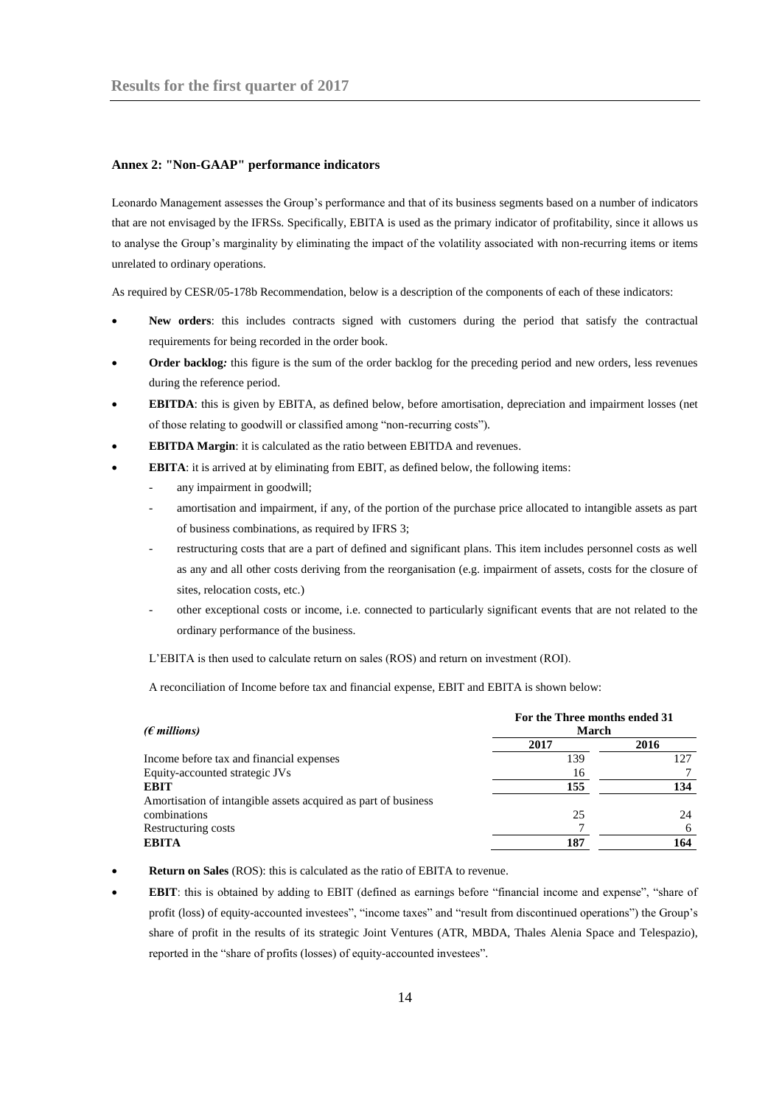#### <span id="page-13-0"></span>**Annex 2: "Non-GAAP" performance indicators**

Leonardo Management assesses the Group's performance and that of its business segments based on a number of indicators that are not envisaged by the IFRSs. Specifically, EBITA is used as the primary indicator of profitability, since it allows us to analyse the Group's marginality by eliminating the impact of the volatility associated with non-recurring items or items unrelated to ordinary operations.

As required by CESR/05-178b Recommendation, below is a description of the components of each of these indicators:

- **New orders**: this includes contracts signed with customers during the period that satisfy the contractual requirements for being recorded in the order book.
- **Order backlog***:* this figure is the sum of the order backlog for the preceding period and new orders, less revenues during the reference period.
- **EBITDA**: this is given by EBITA, as defined below, before amortisation, depreciation and impairment losses (net of those relating to goodwill or classified among "non-recurring costs").
- **EBITDA Margin**: it is calculated as the ratio between EBITDA and revenues.
- **EBITA**: it is arrived at by eliminating from EBIT, as defined below, the following items:
	- any impairment in goodwill;
	- amortisation and impairment, if any, of the portion of the purchase price allocated to intangible assets as part of business combinations, as required by IFRS 3;
	- restructuring costs that are a part of defined and significant plans. This item includes personnel costs as well as any and all other costs deriving from the reorganisation (e.g. impairment of assets, costs for the closure of sites, relocation costs, etc.)
	- other exceptional costs or income, i.e. connected to particularly significant events that are not related to the ordinary performance of the business.

L'EBITA is then used to calculate return on sales (ROS) and return on investment (ROI).

A reconciliation of Income before tax and financial expense, EBIT and EBITA is shown below:

| ( $\epsilon$ millions)                                         | For the Three months ended 31<br>March |      |  |
|----------------------------------------------------------------|----------------------------------------|------|--|
|                                                                | 2017                                   | 2016 |  |
| Income before tax and financial expenses                       | 139                                    | 127  |  |
| Equity-accounted strategic JVs                                 | 16                                     |      |  |
| EBIT                                                           | 155                                    | 134  |  |
| Amortisation of intangible assets acquired as part of business |                                        |      |  |
| combinations                                                   | 25                                     | 24   |  |
| Restructuring costs                                            |                                        | 6    |  |
| <b>EBITA</b>                                                   | 187                                    | 164  |  |

- **Return on Sales** (ROS): this is calculated as the ratio of EBITA to revenue.
- **EBIT**: this is obtained by adding to EBIT (defined as earnings before "financial income and expense", "share of profit (loss) of equity-accounted investees", "income taxes" and "result from discontinued operations") the Group's share of profit in the results of its strategic Joint Ventures (ATR, MBDA, Thales Alenia Space and Telespazio), reported in the "share of profits (losses) of equity-accounted investees".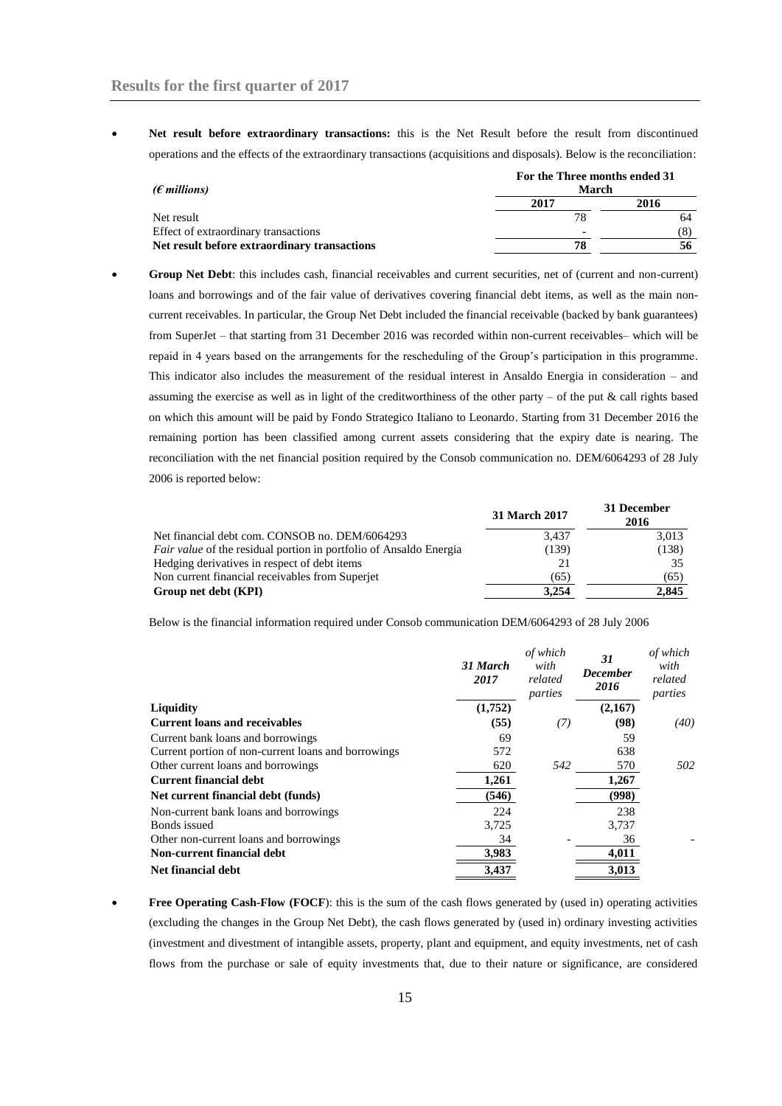**Net result before extraordinary transactions:** this is the Net Result before the result from discontinued operations and the effects of the extraordinary transactions (acquisitions and disposals). Below is the reconciliation:

| ( $\epsilon$ millions)                       |      | For the Three months ended 31<br>March |  |  |
|----------------------------------------------|------|----------------------------------------|--|--|
|                                              | 2017 | 2016                                   |  |  |
| Net result                                   | 78   | 64                                     |  |  |
| Effect of extraordinary transactions         |      | (8)                                    |  |  |
| Net result before extraordinary transactions | 78   |                                        |  |  |

 **Group Net Debt**: this includes cash, financial receivables and current securities, net of (current and non-current) loans and borrowings and of the fair value of derivatives covering financial debt items, as well as the main noncurrent receivables. In particular, the Group Net Debt included the financial receivable (backed by bank guarantees) from SuperJet – that starting from 31 December 2016 was recorded within non-current receivables– which will be repaid in 4 years based on the arrangements for the rescheduling of the Group's participation in this programme. This indicator also includes the measurement of the residual interest in Ansaldo Energia in consideration – and assuming the exercise as well as in light of the creditworthiness of the other party – of the put  $\&$  call rights based on which this amount will be paid by Fondo Strategico Italiano to Leonardo. Starting from 31 December 2016 the remaining portion has been classified among current assets considering that the expiry date is nearing. The reconciliation with the net financial position required by the Consob communication no. DEM/6064293 of 28 July 2006 is reported below:

|                                                                           | 31 March 2017 | 31 December<br>2016 |
|---------------------------------------------------------------------------|---------------|---------------------|
| Net financial debt com. CONSOB no. DEM/6064293                            | 3,437         | 3,013               |
| <i>Fair value</i> of the residual portion in portfolio of Ansaldo Energia | (139)         | (138)               |
| Hedging derivatives in respect of debt items                              |               | 35                  |
| Non current financial receivables from Superjet                           | (65)          | (65)                |
| Group net debt (KPI)                                                      | 3.254         | 2.845               |

Below is the financial information required under Consob communication DEM/6064293 of 28 July 2006

|                                                     | 31 March<br>2017 | of which<br>with<br>related<br>parties | 31<br><b>December</b><br>2016 | of which<br>with<br>related<br>parties |
|-----------------------------------------------------|------------------|----------------------------------------|-------------------------------|----------------------------------------|
| <b>Liquidity</b>                                    | (1,752)          |                                        | (2,167)                       |                                        |
| <b>Current loans and receivables</b>                | (55)             | (7)                                    | (98)                          | (40)                                   |
| Current bank loans and borrowings                   | 69               |                                        | 59                            |                                        |
| Current portion of non-current loans and borrowings | 572              |                                        | 638                           |                                        |
| Other current loans and borrowings                  | 620              | 542                                    | 570                           | 502                                    |
| <b>Current financial debt</b>                       | 1,261            |                                        | 1,267                         |                                        |
| Net current financial debt (funds)                  | (546)            |                                        | (998)                         |                                        |
| Non-current bank loans and borrowings               | 224              |                                        | 238                           |                                        |
| Bonds issued                                        | 3,725            |                                        | 3,737                         |                                        |
| Other non-current loans and borrowings              | 34               |                                        | 36                            |                                        |
| Non-current financial debt                          | 3,983            |                                        | 4,011                         |                                        |
| Net financial debt                                  | 3,437            |                                        | 3,013                         |                                        |

**Free Operating Cash-Flow (FOCF)**: this is the sum of the cash flows generated by (used in) operating activities (excluding the changes in the Group Net Debt), the cash flows generated by (used in) ordinary investing activities (investment and divestment of intangible assets, property, plant and equipment, and equity investments, net of cash flows from the purchase or sale of equity investments that, due to their nature or significance, are considered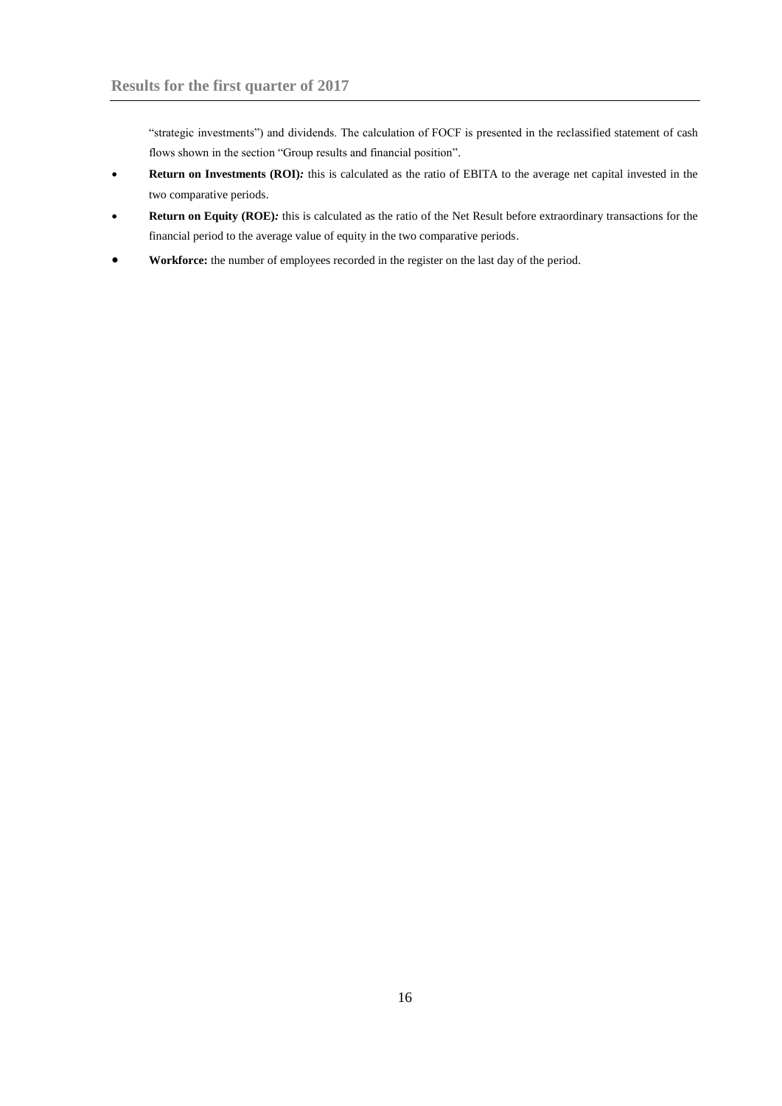"strategic investments") and dividends. The calculation of FOCF is presented in the reclassified statement of cash flows shown in the section "Group results and financial position".

- **Return on Investments (ROI)***:* this is calculated as the ratio of EBITA to the average net capital invested in the two comparative periods.
- **Return on Equity (ROE)***:* this is calculated as the ratio of the Net Result before extraordinary transactions for the financial period to the average value of equity in the two comparative periods.
- **Workforce:** the number of employees recorded in the register on the last day of the period.